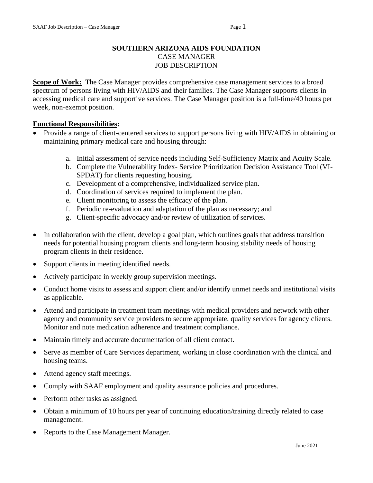## **SOUTHERN ARIZONA AIDS FOUNDATION** CASE MANAGER JOB DESCRIPTION

**Scope of Work:** The Case Manager provides comprehensive case management services to a broad spectrum of persons living with HIV/AIDS and their families. The Case Manager supports clients in accessing medical care and supportive services. The Case Manager position is a full-time/40 hours per week, non-exempt position.

## **Functional Responsibilities:**

- Provide a range of client-centered services to support persons living with HIV/AIDS in obtaining or maintaining primary medical care and housing through:
	- a. Initial assessment of service needs including Self-Sufficiency Matrix and Acuity Scale.
	- b. Complete the Vulnerability Index- Service Prioritization Decision Assistance Tool (VI-SPDAT) for clients requesting housing.
	- c. Development of a comprehensive, individualized service plan.
	- d. Coordination of services required to implement the plan.
	- e. Client monitoring to assess the efficacy of the plan.
	- f. Periodic re-evaluation and adaptation of the plan as necessary; and
	- g. Client-specific advocacy and/or review of utilization of services.
- In collaboration with the client, develop a goal plan, which outlines goals that address transition needs for potential housing program clients and long-term housing stability needs of housing program clients in their residence.
- Support clients in meeting identified needs.
- Actively participate in weekly group supervision meetings.
- Conduct home visits to assess and support client and/or identify unmet needs and institutional visits as applicable.
- Attend and participate in treatment team meetings with medical providers and network with other agency and community service providers to secure appropriate, quality services for agency clients. Monitor and note medication adherence and treatment compliance.
- Maintain timely and accurate documentation of all client contact.
- Serve as member of Care Services department, working in close coordination with the clinical and housing teams.
- Attend agency staff meetings.
- Comply with SAAF employment and quality assurance policies and procedures.
- Perform other tasks as assigned.
- Obtain a minimum of 10 hours per year of continuing education/training directly related to case management.
- Reports to the Case Management Manager.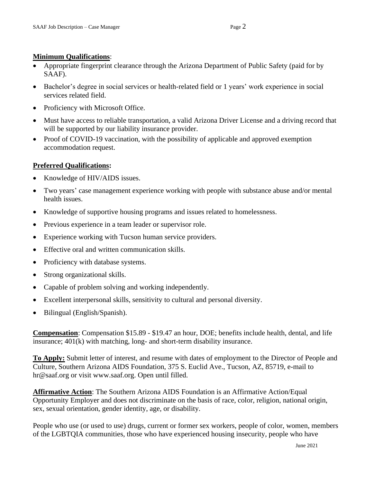## **Minimum Qualifications**:

- Appropriate fingerprint clearance through the Arizona Department of Public Safety (paid for by SAAF).
- Bachelor's degree in social services or health-related field or 1 years' work experience in social services related field.
- Proficiency with Microsoft Office.
- Must have access to reliable transportation, a valid Arizona Driver License and a driving record that will be supported by our liability insurance provider.
- Proof of COVID-19 vaccination, with the possibility of applicable and approved exemption accommodation request.

## **Preferred Qualifications:**

- Knowledge of HIV/AIDS issues.
- Two years' case management experience working with people with substance abuse and/or mental health issues.
- Knowledge of supportive housing programs and issues related to homelessness.
- Previous experience in a team leader or supervisor role.
- Experience working with Tucson human service providers.
- Effective oral and written communication skills.
- Proficiency with database systems.
- Strong organizational skills.
- Capable of problem solving and working independently.
- Excellent interpersonal skills, sensitivity to cultural and personal diversity.
- Bilingual (English/Spanish).

**Compensation**: Compensation \$15.89 - \$19.47 an hour, DOE; benefits include health, dental, and life insurance; 401(k) with matching, long- and short-term disability insurance.

**To Apply:** Submit letter of interest, and resume with dates of employment to the Director of People and Culture, Southern Arizona AIDS Foundation, 375 S. Euclid Ave., Tucson, AZ, 85719, e-mail to hr@saaf.org or visit www.saaf.org. Open until filled.

**Affirmative Action**: The Southern Arizona AIDS Foundation is an Affirmative Action/Equal Opportunity Employer and does not discriminate on the basis of race, color, religion, national origin, sex, sexual orientation, gender identity, age, or disability.

People who use (or used to use) drugs, current or former sex workers, people of color, women, members of the LGBTQIA communities, those who have experienced housing insecurity, people who have